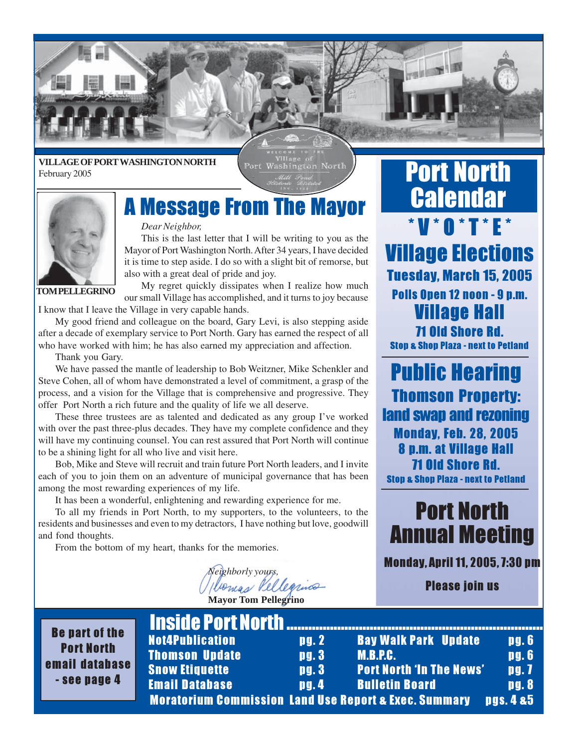

#### **VILLAGE OF PORT WASHINGTON NORTH** February 2005

Port Washington North



#### *Dear Neighbor,*

*Dear Neighbor,*<br>This is the last letter that I will be writing to you as the Mayor of Port Washington North. After 34 years, I have decided it is time to step aside. I do so with a slight bit of remorse, but also with a great deal of pride and joy.

**TOM PELLEGRINO**

My regret quickly dissipates when I realize how much our small Village has accomplished, and it turns to joy because I know that I leave the Village in very capable hands.

My good friend and colleague on the board, Gary Levi, is also stepping aside after a decade of exemplary service to Port North. Gary has earned the respect of all who have worked with him; he has also earned my appreciation and affection.

Thank you Gary.

e i

We have passed the mantle of leadership to Bob Weitzner, Mike Schenkler and Steve Cohen, all of whom have demonstrated a level of commitment, a grasp of the process, and a vision for the Village that is comprehensive and progressive. They offer Port North a rich future and the quality of life we all deserve.

These three trustees are as talented and dedicated as any group I've worked with over the past three-plus decades. They have my complete confidence and they will have my continuing counsel. You can rest assured that Port North will continue to be a shining light for all who live and visit here.

Bob, Mike and Steve will recruit and train future Port North leaders, and I invite each of you to join them on an adventure of municipal governance that has been among the most rewarding experiences of my life.

It has been a wonderful, enlightening and rewarding experience for me.

To all my friends in Port North, to my supporters, to the volunteers, to the residents and businesses and even to my detractors, I have nothing but love, goodwill and fond thoughts.

From the bottom of my heart, thanks for the memories.

*Neighborly yours,* **Mayor Tom Pellegrino**

#### Port North **Calendar** \*V\*O\*T\*E\* **Village Elections** Tuesday, March 15, 2005 Polls Open 12 noon - 9 p.m. 71 Old Shore Rd. Stop & Shop Plaza - next to Petland

**Thomson Property:** land swap and rezoning Monday, Feb. 28, 2005 8 p.m. at Village Hall 71 Old Shore Rd. Stop & Shop Plaza - next to Petland

### **Port North Annual Meeting**

Annual Meeting Monday, April 11, 2005, 7:30 pm

Please join us

|                       | <b>IIISIUC FUTLNUTLII </b>                     |                   |   |
|-----------------------|------------------------------------------------|-------------------|---|
| <b>Be part of the</b> | <b>Not4Publication</b>                         | $\mathbf{p}$ g. 2 |   |
| <b>Port North</b>     | <b>Thomson Update</b>                          | pg.3              | N |
| mail database         | <b>Snow Etiquette</b>                          | pg. 3             | P |
| - see page 4          | <b>Email Database</b>                          | $\mathbf{u}$ .    | B |
|                       | <b>Moratorium Commission Land Use Repeated</b> |                   |   |

|              | <b>Inside Port North</b>                                         |       |                                 |                      |
|--------------|------------------------------------------------------------------|-------|---------------------------------|----------------------|
| $\mathbf{e}$ | <b>Not4Publication</b>                                           | pg. 2 | <b>Bay Walk Park Update</b>     | $\mathbf{p}$ g. 6    |
|              | <b>Thomson Update</b>                                            | pg.3  | <b>M.B.P.C.</b>                 | <b>pg.6</b>          |
| <b>se</b>    | <b>Snow Etiquette</b>                                            | pg.3  | <b>Port North 'In The News'</b> | pg.7                 |
|              | <b>Email Database</b>                                            | pg.4  | <b>Bulletin Board</b>           | pg.8                 |
|              | <b>Moratorium Commission Land Use Report &amp; Exec. Summary</b> |       |                                 | <b>Dgs. 4 &amp;5</b> |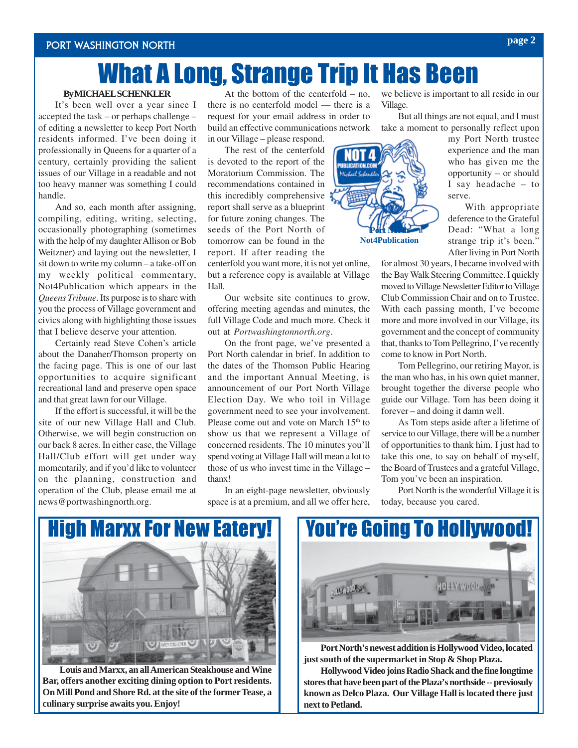## What A Long, Strange Trip It Has Been

#### **By MICHAEL SCHENKLER**

It's been well over a year since I accepted the task – or perhaps challenge – of editing a newsletter to keep Port North residents informed. I've been doing it professionally in Queens for a quarter of a century, certainly providing the salient issues of our Village in a readable and not too heavy manner was something I could handle.

And so, each month after assigning, compiling, editing, writing, selecting, occasionally photographing (sometimes with the help of my daughter Allison or Bob Weitzner) and laying out the newsletter, I sit down to write my column – a take-off on my weekly political commentary, Not4Publication which appears in the *Queens Tribune*. Its purpose is to share with you the process of Village government and civics along with highlighting those issues that I believe deserve your attention.

Certainly read Steve Cohen's article about the Danaher/Thomson property on the facing page. This is one of our last opportunities to acquire significant recreational land and preserve open space and that great lawn for our Village.

If the effort is successful, it will be the site of our new Village Hall and Club. Otherwise, we will begin construction on our back 8 acres. In either case, the Village Hall/Club effort will get under way momentarily, and if you'd like to volunteer on the planning, construction and operation of the Club, please email me at news@portwashingnorth.org.

At the bottom of the centerfold – no, there is no centerfold model — there is a request for your email address in order to build an effective communications network in our Village – please respond.

The rest of the centerfold is devoted to the report of the Moratorium Commission. The recommendations contained in this incredibly comprehensive report shall serve as a blueprint for future zoning changes. The seeds of the Port North of tomorrow can be found in the report. If after reading the

centerfold you want more, it is not yet online, but a reference copy is available at Village Hall.

Our website site continues to grow, offering meeting agendas and minutes, the full Village Code and much more. Check it out at *Portwashingtonnorth.org*.

On the front page, we've presented a Port North calendar in brief. In addition to the dates of the Thomson Public Hearing and the important Annual Meeting, is announcement of our Port North Village Election Day. We who toil in Village government need to see your involvement. Please come out and vote on March 15<sup>th</sup> to show us that we represent a Village of concerned residents. The 10 minutes you'll spend voting at Village Hall will mean a lot to those of us who invest time in the Village –

In an eight-page newsletter, obviously space is at a premium, and all we offer here, we believe is important to all reside in our Village.

But all things are not equal, and I must take a moment to personally reflect upon

> my Port North trustee experience and the man who has given me the opportunity – or should I say headache – to serve.

With appropriate deference to the Grateful Dead: "What a long strange trip it's been." After living in Port North

for almost 30 years, I became involved with the Bay Walk Steering Committee. I quickly moved to Village Newsletter Editor to Village Club Commission Chair and on to Trustee. With each passing month, I've become more and more involved in our Village, its government and the concept of community that, thanks to Tom Pellegrino, I've recently come to know in Port North.

Tom Pellegrino, our retiring Mayor, is the man who has, in his own quiet manner, brought together the diverse people who guide our Village. Tom has been doing it forever – and doing it damn well.

As Tom steps aside after a lifetime of service to our Village, there will be a number of opportunities to thank him. I just had to take this one, to say on behalf of myself, the Board of Trustees and a grateful Village, Tom you've been an inspiration.

Port North is the wonderful Village it is today, because you cared.



**Louis and Marxx, an all American Steakhouse and Wine Bar, offers another exciting dining option to Port residents. On Mill Pond and Shore Rd. at the site of the former Tease, a culinary surprise awaits you. Enjoy!**



**Port North's newest addition is Hollywood Video, located just south of the supermarket in Stop & Shop Plaza.**

**Hollywood Video joins Radio Shack and the fine longtime stores that have been part of the Plaza's northside -- previosuly known as Delco Plaza. Our Village Hall is located there just next to Petland.**



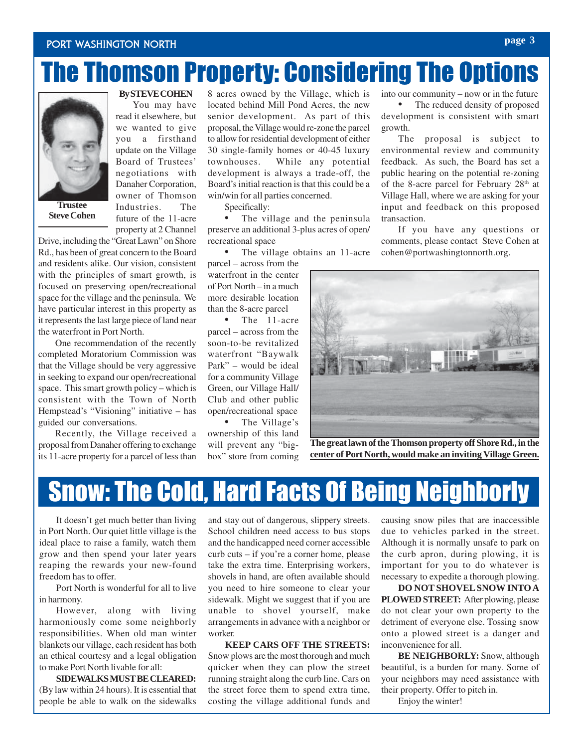#### Port Washington North

# The Thomson Property: Considering The Options



**Steve Cohen**

**By STEVE COHEN**

You may have read it elsewhere, but we wanted to give you a firsthand update on the Village Board of Trustees' negotiations with Danaher Corporation, owner of Thomson Industries. The future of the 11-acre property at 2 Channel

Drive, including the "Great Lawn" on Shore Rd., has been of great concern to the Board and residents alike. Our vision, consistent with the principles of smart growth, is focused on preserving open/recreational space for the village and the peninsula. We have particular interest in this property as it represents the last large piece of land near the waterfront in Port North.

One recommendation of the recently completed Moratorium Commission was that the Village should be very aggressive in seeking to expand our open/recreational space. This smart growth policy – which is consistent with the Town of North Hempstead's "Visioning" initiative – has guided our conversations.

Recently, the Village received a proposal from Danaher offering to exchange its 11-acre property for a parcel of less than

8 acres owned by the Village, which is located behind Mill Pond Acres, the new senior development. As part of this proposal, the Village would re-zone the parcel to allow for residential development of either 30 single-family homes or 40-45 luxury townhouses. While any potential development is always a trade-off, the Board's initial reaction is that this could be a win/win for all parties concerned.

Specifically:

The village and the peninsula preserve an additional 3-plus acres of open/ recreational space

• The village obtains an 11-acre

parcel – across from the waterfront in the center of Port North – in a much more desirable location than the 8-acre parcel

• The 11-acre parcel – across from the soon-to-be revitalized waterfront "Baywalk Park" – would be ideal for a community Village Green, our Village Hall/ Club and other public open/recreational space • The Village's

ownership of this land will prevent any "bigbox" store from coming into our community – now or in the future

The reduced density of proposed development is consistent with smart growth.

The proposal is subject to environmental review and community feedback. As such, the Board has set a public hearing on the potential re-zoning of the 8-acre parcel for February  $28<sup>th</sup>$  at Village Hall, where we are asking for your input and feedback on this proposed transaction.

If you have any questions or comments, please contact Steve Cohen at cohen@portwashingtonnorth.org.



**The great lawn of the Thomson property off Shore Rd., in the center of Port North, would make an inviting Village Green.**

## Snow: The Cold, Hard Facts Of Being Neighborly

It doesn't get much better than living in Port North. Our quiet little village is the ideal place to raise a family, watch them grow and then spend your later years reaping the rewards your new-found freedom has to offer.

Port North is wonderful for all to live in harmony.

However, along with living harmoniously come some neighborly responsibilities. When old man winter blankets our village, each resident has both an ethical courtesy and a legal obligation to make Port North livable for all:

**SIDEWALKS MUST BE CLEARED:** (By law within 24 hours). It is essential that people be able to walk on the sidewalks

and stay out of dangerous, slippery streets. School children need access to bus stops and the handicapped need corner accessible curb cuts – if you're a corner home, please take the extra time. Enterprising workers, shovels in hand, are often available should you need to hire someone to clear your sidewalk. Might we suggest that if you are unable to shovel yourself, make arrangements in advance with a neighbor or worker.

**KEEP CARS OFF THE STREETS:** Snow plows are the most thorough and much quicker when they can plow the street running straight along the curb line. Cars on the street force them to spend extra time, costing the village additional funds and causing snow piles that are inaccessible due to vehicles parked in the street. Although it is normally unsafe to park on the curb apron, during plowing, it is important for you to do whatever is necessary to expedite a thorough plowing.

**DO NOT SHOVEL SNOW INTO A PLOWED STREET:** After plowing, please do not clear your own property to the detriment of everyone else. Tossing snow onto a plowed street is a danger and inconvenience for all.

**BE NEIGHBORLY:** Snow, although beautiful, is a burden for many. Some of your neighbors may need assistance with their property. Offer to pitch in.

Enjoy the winter!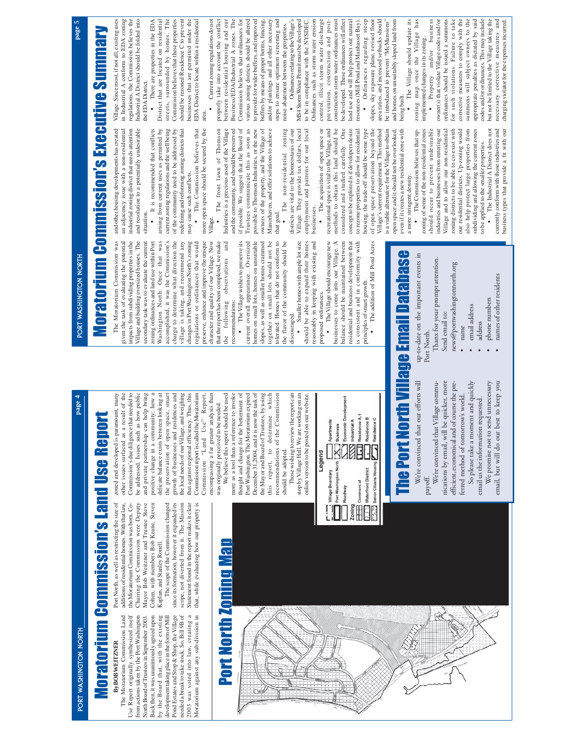Port Washington North Port Washington North **page 5 page 4** PORT WASHINGTON NORTH

# Moratorium Commission's Land Use Report **Moratorium Commission's Land Use Report**

Port North, as well as restricting the size of

Port North, as well as restricting the size of

zoned and developed is paramount, many other issues surfaced as a result of the

zoned and developed is paramount, many

# By BOB WEITZNER **By BOB WEITZNER**

Use

additions of residential homes. With that law, that, while evaluating how our property is additions of residential homes. With that law, The Moratorium Commission Land from actions taken by the Port Washington Back then, it was unanimously agreed upon 2003 was voted into law, creating a Moratorium against any sub-division in The Moratorium Commission Land Report originally synthesized itself Use Report originally synthesized itself from actions taken by the Port Washington North Board of Trustees in September 2003. Back then, it was unanimously agreed upon by the Board that, with the existing by the Board that, with the existing development taking place in the form of Mill development taking place in the form of Mill Pond Estates and Stop & Shop, the Village Pond Estates and Stop & Shop, the Village needed a break to take stock. So, Bill 9B of needed a break to take stock. So, Bill 9B of 2003 was voted into law, creating a North Board of Trustees in September 2003.

Moratorium against any sub-division in

Port North Zoning Map

**Port North Zoning Map** 

that, while evaluating how our property is

Commission report is called the Moratorium

Commission report is called the Moratorium

other issues surfaced as a result of the<br>Commission's due diligence that needed to delicate balance exists between looking at Commission's due diligence that needed to be addressed. Issues such as how public be addressed. Issues such as how public and private partnership can help bring and private partnership can help bring positive change in a community; how a positive change in a community; how a delicate balance exists between looking at the preservation of open space, smart growth of businesses and residences and the local needs of our Village, and weighing that against regional efficiency. Thus, this the preservation of open space, smart growth of businesses and residences and the local needs of our Village, and weighing that against regional efficiency. Thus, this Chairing the Commission were Deputy Mayor Bob Weitzner and Trustee Steve Cohen, with members Bob Keane, Steven the Moratorium Commission was born. Co-The scope of the Commission changed since its formation, however it expanded its scope, not diverted from it. The Mission Statement found in the report makes it clear the Moratorium Commission was born. Co-Chairing the Commission were Deputy Mayor Bob Weitzner and Trustee Steve Cohen, with members Bob Keane, Steven The scope of the Commission changed since its formation, however it expanded its scope, not diverted from it. The Mission Statement found in the report makes it clear Kaplan, and Stanley Ronell. Kaplan, and Stanley Ronell.

Commission "Land Use" Report, encompassing a far greater analysis than encompassing a far greater analysis than We believe this report should be used We believe this report should be used more as a tool than a reference to invoke more as a tool than a reference to invoke thought and change for the betterment of thought and change for the betterment of Port Washington. The Moratorium expired Port Washington. The Moratorium expired December 31,2004, and it is now the task of December 31,2004, and it is now the task of the Mayor and Board of Trustees, by using the Mayor and Board of Trustees, by using which this report, to determine which "Land Use" Report, was originally perceived to be needed. was originally perceived to be needed. this report, to determine Commission

Those wishing to review the report can Those wishing to review the report can stop by Village Hall. We are working on an stop by Village Hall. We are working on an online version to be posted on our website. online version to be posted on our website.

recommendations of the Commission

recommendations of the Commission

should be adopted.

should be adopted.

|        | Apartments       | Business                   | Economic Development | A Industrial A | L <sub>a</sub> ll Residence A,1 | Residence B                | A Residence C           |  |
|--------|------------------|----------------------------|----------------------|----------------|---------------------------------|----------------------------|-------------------------|--|
| Legend | Village Boundary | ∢<br>Port Washington North | Roadway              | Zoning         | Commercial<br>Ψ                 | <b>Waterfront District</b> | Senior Citizens Housing |  |

# PORT WASHINGTON NORTH

page 4

# Moratorium Commission's Executive Summary Moratorium Commission's Executive Summary

and other housing developments has created an adjacency issue with a non-residential<br>industrial zoning district that needs attention and resolution to a potentially undesirable arising from current uses as permitted by redefining and reforming zoning districts that and other housing developments has created an adjacency issue with a non-residential industrial zoning district that needs attention and resolution to a potentially undesirable It is recommended that conflicts arising from current uses as permitted by current zoning regulations and the well being current zoning regulations and the well being of the community need to be addressed by of the community need to be addressed by redefining and reforming zoning districts that The Commission believes that more open space should be secured by the more open space should be secured by the The front lawn of Thomson Industries is a precious asset of the Village Industries is a precious asset of the Village may cause such conflicts. may cause such conflicts. situation. situation. ••Village. The Moratorium Commission was given the task of evaluating the potential impacts from subdividing properties in the Village and building oversized houses. The secondary task was to evaluate the current zoning ordinances and land use within Port Washington North. Once that was changes in Port Washington North's zoning preserve, enhance and improve the unique and secondary task was to evaluate the current zoning ordinances and land use within Port accomplished, it was the Commission's charge to determine what direction the village is taking, and recommend any regulations or ordinances that would character and quality of our Village. Now that the report has been completed, we make The Moratorium Commission was given the task of evaluating the potential impacts from subdividing properties in the Village and building oversized houses. The Washington North. Once that was accomplished, it was the Commission's charge to determine what direction the village is taking, and recommend any changes in Port Washington North's zoning regulations or ordinances that would preserve, enhance and improve the unique character and quality of our Village. Now that the report has been completed, we make the following observations and the following observations

slopes, as well as smaller homes crammed together on small lots should not be tolerated. Homes that do not conform to The Village wishes to preserve its Oversized homes on small lots, homes on unsuitable slopes, as well as smaller homes crammed the flavor of the community should be • The Village wishes to preserve its current overall appearance. Oversized homes on small lots, homes on unsuitable together on small lots should not be tolerated. Homes that do not conform to the flavor of the community should be current overall appearance. recommendations: recommendations: •

Village. They provide tax dollars, local employment and patrons for our local districts are vital to the homeostasis of our districts are vital to the homeostasis of our Village. They provide tax dollars, local employment and patrons for our local businesses. businesses. Smaller homes with ample lot size reasonably in keeping with existing and should be able to expand their homes Smaller homes with ample lot size should be able to expand their homes reasonably in keeping with existing and discouraged. discouraged. •

•

 The acquisition of open space or recreational space is vital to the Village, and methods to obtain this land should be considered and studied carefully. One concept to be explored is if developers desire to rezone properties to allow for residential housing, the trade-off should be some type of open space preservation beyond the

methods to obtain this land should be considered and studied carefully. One concept to be explored is if developers desire housing, the trade-off should be some type of open space preservation beyond the

The acquisition of open space or recreational space is vital to the Village, and

• The Village should encourage new businesses to come into our Village. A balance should be maintained between<br>residential and business development that residential and business development that is consistent and in conformity with The Village should encourage new businesses to come into our Village. A balance should be maintained between is consistent and in conformity with principles of smart growth. principles of smart growth proposed ordinances. proposed ordinances

The addition of Mill Pond Acres • The addition of Mill Pond Acres

•

# The Port North Village Email Database up-to-date on the important events in<br>Port North. he Port North Village Email Databas

We're convinced that our efforts will We're convinced that our efforts will

up-to-date on the important events in

Port North.

payott.<br>We're convinced that Village commu-We're convinced that Village commu-

nications by email, will be quicker, more efficient, economical and of course the pre-So please take a moment and quickly So please take a moment and quickly nications by email, will be quicker, more efficient, economical and of course the preferred method of tomorrow's world. ferred method of tomorrow's world.

We promise not to send unnecessary email, but will do our best to keep you We promise not to send unnecessary email, but will do our best to keep you email us the information requested. email us the information requested.

Thanx for your prompt attention. Thanx for your prompt attention. news@portwashingtonnorth.org news@portwashingtonnorth.org Send email to: Send email to: name name

- 
- 
- 
- 
- 
- 
- email address
- 
- email address
- address address
- 
- names of other residents
- names of other residents
- 
- phone numbers phone numbers
- 
- 
- 
- 
- 
- 
- 
- 
- 
- 
- 
- 
- 
- 
- 
- 
- 
- 
- 
- 
- 
- 

is a viable alternative for the Village to obtain Village's current requirement. This method Village's current requirement. This method

to rezone properties to allow for residential

is a viable alternative for the Village to obtain open space and it should not be overlooked,

open space and it should not be overlooked,

• The Village should update its The Village should update its zoning map once the Village has zoning map once the Village has even if it creates a new residential zone with even if it creates a new residential zone with The Commission believes that up- The Commission believes that upzoning of some of the non-residential zones

a more stringent density. •

a more stringent density.

zoning of some of the non-residential zones should occur to prevent undesirable industries and businesses from entering our Village and to allow our non-residential zoning districts to be able to co-exist with our residential districts. Up-zoning would also help protect large properties from subdividing and allowing the current zones to be applied to the smaller properties. • The Industrial A District does not currently conform with those industries and business types that provide a fit with our

should occur to prevent undesirable industries and businesses from entering our Village and to allow our non-residential zoning districts to be able to co-exist with our residential districts. Up-zoning would also help protect large properties from subdividing and allowing the current zones

business Property and/or business owner(s) that violate Village codes and /or owner(s) that violate Village codes and /or ordinances should be issued a summons ordinances should be issued a summons for such violations. Failure to take for such violations. Failure to take corrective measures to comply with the corrective measures to comply with the summons will subject owners to the summons will subject owners to the appropriate penalties as dictated by said appropriate penalties as dictated by said codes and/or ordinances. This may include codes and/or ordinances. This may include but not be limited to the Village taking the but not be limited to the Village taking the and/or • Property

necessary corrective measures and charging violator for the expenses incurred.

necessary corrective measures and charging violator for the expenses incurred.

The Industrial A District does not

to be applied to the smaller properties.

currently conform with those industries and business types that provide a fit with our

• There are properties in the EDA There are properties in the EDA businesses that are permitted under the EDA District to locate within a residential businesses that are permitted under the Current zoning regulations do not

 Current zoning regulations do not properly take into account the conflict properly take into account the conflict between residential housing and our Business/EDA/Industrial A zones. The Business/EDA/Industrial A zones. The Commission believes that ordinances for various zoning districts should be altered various zoning districts should be altered to provide for wider buffers, and improved to provide for wider buffers, and improved and/or plantings and all other necessary steps to ensure optimum screening and MS4 Storm Water Permit must be developed between residential housing and our Commission believes that ordinances for buffers by means of proper berms, fencing, buffers by means of proper berms, fencing, and/or plantings and all other necessary steps to ensure optimum screening and • Ordinances relating to the Village's Ordinances relating to the Village's MS4 Storm Water Permit must be developed to be in compliance with the NYSDEC to be in compliance with the NYSDEC. noise abatement between the properties. noise abatement between the properties. •

Ordinances such as storm water erosion Ordinances such as storm water erosion control, illicit storm water discharge prevention, construction and postconstruction storm water ordinances must construction storm water ordinances must be developed. These ordinances will affect be developed. These ordinances will affect land use and will help protect our natural land use and will help protect our natural Ordinances regarding steep Ordinances regarding steep slopes, sky exposure plane, revised floor slopes, sky exposure plane, revised floor area ratios, and increased setbacks should area ratios, and increased setbacks should control, illicit storm water discharge prevention, construction and postresources (Mill Pond and Manhasset Bay). resources (Mill Pond and Manhasset Bay). •

and homes on unsuitably sloped land from and homes on unsuitably sloped land from being built.

page 5

Village. Since most, if not all, existing uses Village. Since most, if not all, existing uses in Industrial A conform to EDA zoning in Industrial A conform to EDA zoning regulations, the Commission believes the regulations, the Commission believes the Industrial A District should be folded into Industrial A District should be folded into the EDA District. the EDA District. It is recommended that conflicts

District that are located on residential streets, surrounded by homes. The Commission believes that these properties should be rezoned Residence C to prevent should be rezoned Residence C to prevent District that are located on residential streets, surrounded by homes. The Commission believes that these properties

EDA District to locate within a residential area. The Commission believes that

The front lawn of Thomson Trustees communicate this as soon as Manorhaven, and offer solutions to achieve zoning and the community, and should be preserved if possible. We suggest that the Board of if possible. We suggest that the Board of possible to Thomson Industries, or the new owners of the property, and the Village of owners of the property, and the Village of

be introduced to prevent "McMansions" be introduced to prevent "McMansions"

implemented changes in its zoning. implemented changes in its zoning.

and the community, and should be preserved

Trustees communicate this as soon as possible to Thomson Industries, or the new Manorhaven, and offer solutions to achieve

The non-residential zoning

non-residential

The

that goal.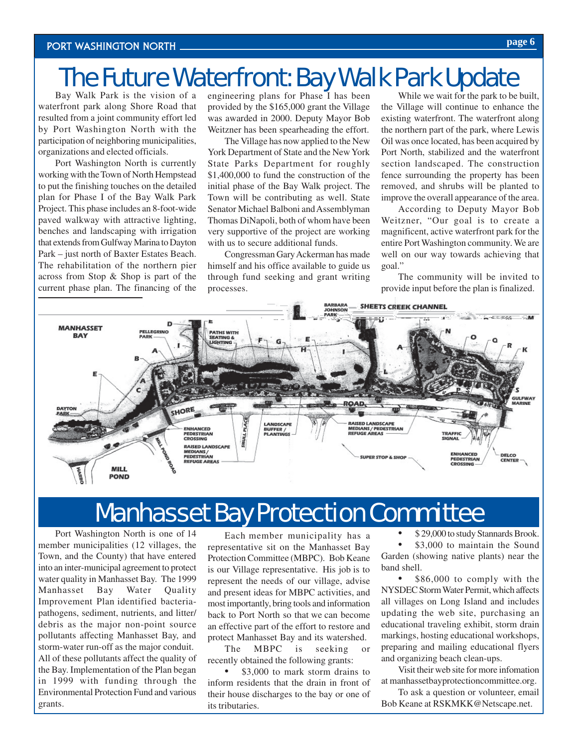# The Future Waterfront: Bay Walk Park Update

Bay Walk Park is the vision of a waterfront park along Shore Road that resulted from a joint community effort led by Port Washington North with the participation of neighboring municipalities, organizations and elected officials.

Port Washington North is currently working with the Town of North Hempstead to put the finishing touches on the detailed plan for Phase I of the Bay Walk Park Project. This phase includes an 8-foot-wide paved walkway with attractive lighting, benches and landscaping with irrigation that extends from Gulfway Marina to Dayton Park – just north of Baxter Estates Beach. The rehabilitation of the northern pier across from Stop & Shop is part of the current phase plan. The financing of the

engineering plans for Phase I has been provided by the \$165,000 grant the Village was awarded in 2000. Deputy Mayor Bob Weitzner has been spearheading the effort.

The Village has now applied to the New York Department of State and the New York State Parks Department for roughly \$1,400,000 to fund the construction of the initial phase of the Bay Walk project. The Town will be contributing as well. State Senator Michael Balboni and Assemblyman Thomas DiNapoli, both of whom have been very supportive of the project are working with us to secure additional funds.

Congressman Gary Ackerman has made himself and his office available to guide us through fund seeking and grant writing processes.

While we wait for the park to be built, the Village will continue to enhance the existing waterfront. The waterfront along the northern part of the park, where Lewis Oil was once located, has been acquired by Port North, stabilized and the waterfront section landscaped. The construction fence surrounding the property has been removed, and shrubs will be planted to improve the overall appearance of the area.

According to Deputy Mayor Bob Weitzner, "Our goal is to create a magnificent, active waterfront park for the entire Port Washington community. We are well on our way towards achieving that goal."

The community will be invited to provide input before the plan is finalized.



### Manhasset Bay Protection Committee

Port Washington North is one of 14 member municipalities (12 villages, the Town, and the County) that have entered into an inter-municipal agreement to protect water quality in Manhasset Bay. The 1999 Manhasset Bay Water Quality Improvement Plan identified bacteriapathogens, sediment, nutrients, and litter/ debris as the major non-point source pollutants affecting Manhasset Bay, and storm-water run-off as the major conduit. All of these pollutants affect the quality of the Bay. Implementation of the Plan began in 1999 with funding through the Environmental Protection Fund and various grants.

Each member municipality has a representative sit on the Manhasset Bay Protection Committee (MBPC). Bob Keane is our Village representative. His job is to represent the needs of our village, advise and present ideas for MBPC activities, and most importantly, bring tools and information back to Port North so that we can become an effective part of the effort to restore and protect Manhasset Bay and its watershed.

The MBPC is seeking or recently obtained the following grants:

\$3,000 to mark storm drains to inform residents that the drain in front of their house discharges to the bay or one of its tributaries.

• \$ 29,000 to study Stannards Brook.

\$3,000 to maintain the Sound Garden (showing native plants) near the band shell.

\$86,000 to comply with the NYSDEC Storm Water Permit, which affects all villages on Long Island and includes updating the web site, purchasing an educational traveling exhibit, storm drain markings, hosting educational workshops, preparing and mailing educational flyers and organizing beach clean-ups.

Visit their web site for more infomation at manhassetbayprotectioncommittee.org.

To ask a question or volunteer, email Bob Keane at RSKMKK@Netscape.net.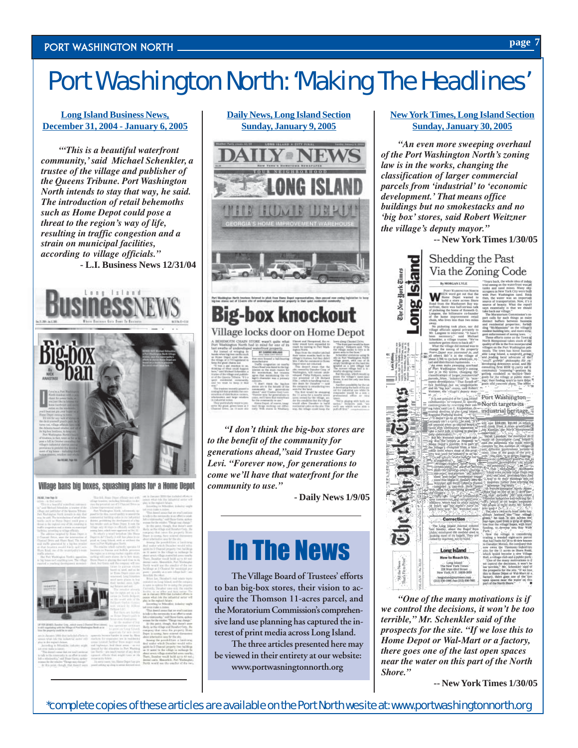# Port Washington North: 'Making The Headlines'

#### **Long Island Business News, December 31, 2004 - January 6, 2005**

*'"This is a beautiful waterfront community,' said Michael Schenkler, a trustee of the village and publisher of the Queens Tribune. Port Washington North intends to stay that way, he said. The introduction of retail behemoths such as Home Depot could pose a threat to the region's way of life, resulting in traffic congestion and a strain on municipal facilities, according to village officials."* **- L.I. Business News 12/31/04**



#### Village bans big boxes, squashing plans for a Home Depot

#### **Daily News, Long Island Section Sunday, January 9, 2005**



# AIN STURE wasn't guite what Elean and Hemptood, there is only the bad in mind for one of its this wast from monoton to

*"I don't think the big-box stores are to the benefit of the community for generations ahead,"said Trustee Gary Levi. "Forever now, for generations to come we'll have that waterfront for the community to use."*

**- Daily News 1/9/05**

# In The News

**The Village Board of Trustees' efforts to ban big-box stores, their vision to acquire the Thomson 11-acres parcel, and the Moratorium Commission's comprehensive land use planning has captured the interest of print media across Long Island.**

**The three articles presented here may be viewed in their entirety at our website: www.portwasningtonnorth.org**

#### **NewYorkTimes, Long Island Section Sunday, January 30, 2005**

*"An even more sweeping overhaul of the Port Washington North's zoning law is in the works, changing the classification of larger commercial parcels from 'industrial' to 'economic development.' That means office buildings but no smokestacks and no 'big box' stores, said Robert Weitzner the village's deputy mayor."*

**-- New York Times 1/30/05**



*"One of the many motivations is if we control the decisions, it won't be too terrible," Mr. Schenkler said of the prospects for the site. "If we lose this to Home Depot or Wal-Mart or a factory, there goes one of the last open spaces near the water on this part of the North Shore."*

**-- New York Times 1/30/05**

\*complete copies of these articles are available on the Port North wesite at: www.portwashingtonnorth.org